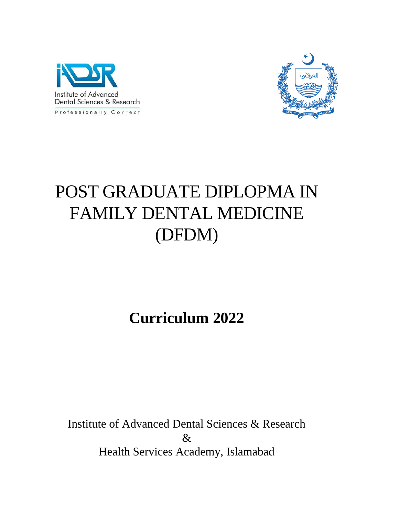



# POST GRADUATE DIPLOPMA IN FAMILY DENTAL MEDICINE (DFDM)

## **Curriculum 2022**

Institute of Advanced Dental Sciences & Research & Health Services Academy, Islamabad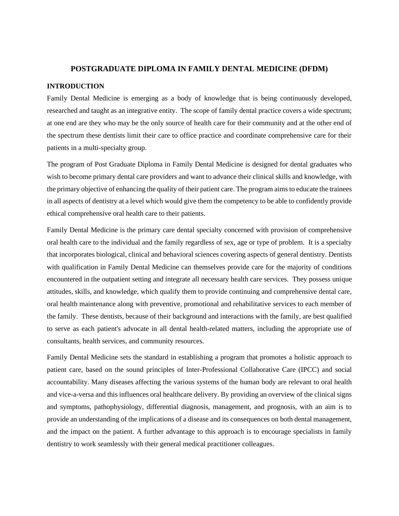#### **POSTGRADUATE DIPLOMA IN FAMILY DENTAL MEDICINE (DFDM)**

#### **INTRODUCTION**

Family Dental Medicine is emerging as a body of knowledge that is being continuously developed, researched and taught as an integrative entity. The scope of family dental practice covers a wide spectrum; at one end are they who may be the only source of health care for their community and at the other end of the spectrum these dentists limit their care to office practice and coordinate comprehensive care for their patients in a multi-specialty group.

The program of Post Graduate Diploma in Family Dental Medicine is designed for dental graduates who wish to become primary dental care providers and want to advance their clinical skills and knowledge, with the primary objective of enhancing the quality of their patient care. The program aims to educate the trainees in all aspects of dentistry at a level which would give them the competency to be able to confidently provide ethical comprehensive oral health care to their patients.

Family Dental Medicine is the primary care dental specialty concerned with provision of comprehensive oral health care to the individual and the family regardless of sex, age or type of problem. It is a specialty that incorporates biological, clinical and behavioral sciences covering aspects of general dentistry. Dentists with qualification in Family Dental Medicine can themselves provide care for the majority of conditions encountered in the outpatient setting and integrate all necessary health care services. They possess unique attitudes, skills, and knowledge, which qualify them to provide continuing and comprehensive dental care, oral health maintenance along with preventive, promotional and rehabilitative services to each member of the family. These dentists, because of their background and interactions with the family, are best qualified to serve as each patient's advocate in all dental health-related matters, including the appropriate use of consultants, health services, and community resources.

Family Dental Medicine sets the standard in establishing a program that promotes a holistic approach to patient care, based on the sound principles of Inter-Professional Collaborative Care (IPCC) and social accountability. Many diseases affecting the various systems of the human body are relevant to oral health and vice-a-versa and this influences oral healthcare delivery. By providing an overview of the clinical signs and symptoms, pathophysiology, differential diagnosis, management, and prognosis, with an aim is to provide an understanding of the implications of a disease and its consequences on both dental management, and the impact on the patient. A further advantage to this approach is to encourage specialists in family dentistry to work seamlessly with their general medical practitioner colleagues.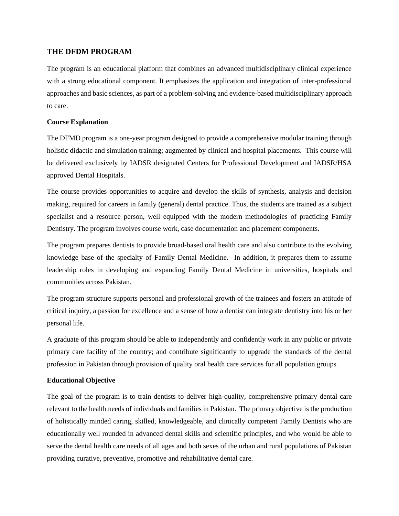#### **THE DFDM PROGRAM**

The program is an educational platform that combines an advanced multidisciplinary clinical experience with a strong educational component. It emphasizes the application and integration of inter-professional approaches and basic sciences, as part of a problem-solving and evidence-based multidisciplinary approach to care.

#### **Course Explanation**

The DFMD program is a one-year program designed to provide a comprehensive modular training through holistic didactic and simulation training; augmented by clinical and hospital placements. This course will be delivered exclusively by IADSR designated Centers for Professional Development and IADSR/HSA approved Dental Hospitals.

The course provides opportunities to acquire and develop the skills of synthesis, analysis and decision making, required for careers in family (general) dental practice. Thus, the students are trained as a subject specialist and a resource person, well equipped with the modern methodologies of practicing Family Dentistry. The program involves course work, case documentation and placement components.

The program prepares dentists to provide broad-based oral health care and also contribute to the evolving knowledge base of the specialty of Family Dental Medicine. In addition, it prepares them to assume leadership roles in developing and expanding Family Dental Medicine in universities, hospitals and communities across Pakistan.

The program structure supports personal and professional growth of the trainees and fosters an attitude of critical inquiry, a passion for excellence and a sense of how a dentist can integrate dentistry into his or her personal life.

A graduate of this program should be able to independently and confidently work in any public or private primary care facility of the country; and contribute significantly to upgrade the standards of the dental profession in Pakistan through provision of quality oral health care services for all population groups.

#### **Educational Objective**

The goal of the program is to train dentists to deliver high-quality, comprehensive primary dental care relevant to the health needs of individuals and families in Pakistan. The primary objective is the production of holistically minded caring, skilled, knowledgeable, and clinically competent Family Dentists who are educationally well rounded in advanced dental skills and scientific principles, and who would be able to serve the dental health care needs of all ages and both sexes of the urban and rural populations of Pakistan providing curative, preventive, promotive and rehabilitative dental care.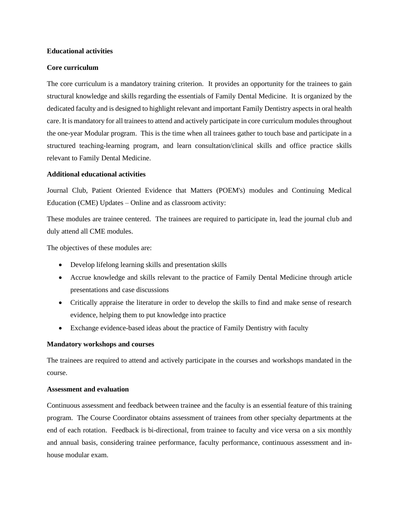#### **Educational activities**

#### **Core curriculum**

The core curriculum is a mandatory training criterion. It provides an opportunity for the trainees to gain structural knowledge and skills regarding the essentials of Family Dental Medicine. It is organized by the dedicated faculty and is designed to highlight relevant and important Family Dentistry aspects in oral health care. It is mandatory for all trainees to attend and actively participate in core curriculum modules throughout the one-year Modular program. This is the time when all trainees gather to touch base and participate in a structured teaching-learning program, and learn consultation/clinical skills and office practice skills relevant to Family Dental Medicine.

#### **Additional educational activities**

Journal Club, Patient Oriented Evidence that Matters (POEM's) modules and Continuing Medical Education (CME) Updates – Online and as classroom activity:

These modules are trainee centered. The trainees are required to participate in, lead the journal club and duly attend all CME modules.

The objectives of these modules are:

- Develop lifelong learning skills and presentation skills
- Accrue knowledge and skills relevant to the practice of Family Dental Medicine through article presentations and case discussions
- Critically appraise the literature in order to develop the skills to find and make sense of research evidence, helping them to put knowledge into practice
- Exchange evidence-based ideas about the practice of Family Dentistry with faculty

#### **Mandatory workshops and courses**

The trainees are required to attend and actively participate in the courses and workshops mandated in the course.

#### **Assessment and evaluation**

Continuous assessment and feedback between trainee and the faculty is an essential feature of this training program. The Course Coordinator obtains assessment of trainees from other specialty departments at the end of each rotation. Feedback is bi-directional, from trainee to faculty and vice versa on a six monthly and annual basis, considering trainee performance, faculty performance, continuous assessment and inhouse modular exam.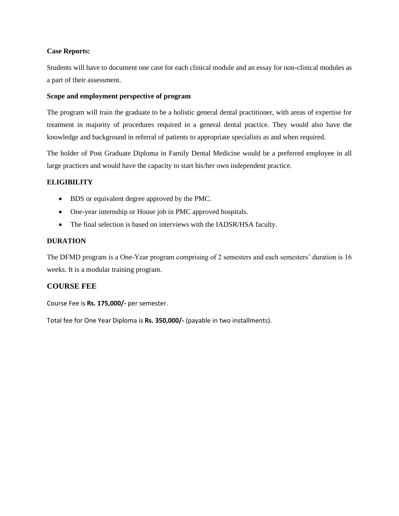#### **Case Reports:**

Students will have to document one case for each clinical module and an essay for non-clinical modules as a part of their assessment.

#### **Scope and employment perspective of program**

The program will train the graduate to be a holistic general dental practitioner, with areas of expertise for treatment in majority of procedures required in a general dental practice. They would also have the knowledge and background in referral of patients to appropriate specialists as and when required.

The holder of Post Graduate Diploma in Family Dental Medicine would be a preferred employee in all large practices and would have the capacity to start his/her own independent practice.

#### **ELIGIBILITY**

- BDS or equivalent degree approved by the PMC.
- One-year internship or House job in PMC approved hospitals.
- The final selection is based on interviews with the IADSR/HSA faculty.

#### **DURATION**

The DFMD program is a One-Year program comprising of 2 semesters and each semesters' duration is 16 weeks. It is a modular training program.

#### **COURSE FEE**

Course Fee is **Rs. 175,000/-** per semester.

Total fee for One Year Diploma is **Rs. 350,000/-** (payable in two installments).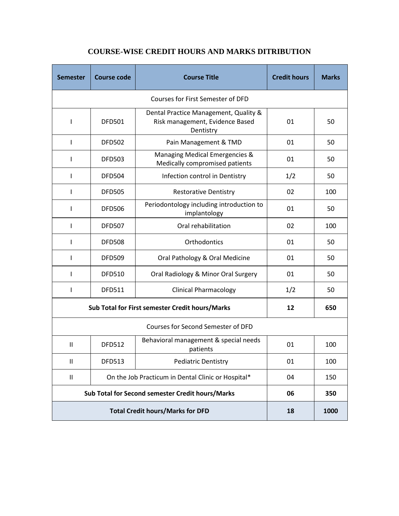| <b>Semester</b>                                                                  | <b>Course code</b> | <b>Course Title</b>                                                                   | <b>Credit hours</b> | <b>Marks</b> |
|----------------------------------------------------------------------------------|--------------------|---------------------------------------------------------------------------------------|---------------------|--------------|
| Courses for First Semester of DFD                                                |                    |                                                                                       |                     |              |
| ı                                                                                | <b>DFD501</b>      | Dental Practice Management, Quality &<br>Risk management, Evidence Based<br>Dentistry | 01                  | 50           |
| L                                                                                | <b>DFD502</b>      | Pain Management & TMD                                                                 | 01                  | 50           |
| I                                                                                | <b>DFD503</b>      | Managing Medical Emergencies &<br>Medically compromised patients                      | 01                  | 50           |
| $\mathsf{I}$                                                                     | <b>DFD504</b>      | Infection control in Dentistry                                                        | 1/2                 | 50           |
| I                                                                                | <b>DFD505</b>      | <b>Restorative Dentistry</b>                                                          | 02                  | 100          |
| L                                                                                | <b>DFD506</b>      | Periodontology including introduction to<br>implantology                              | 01                  | 50           |
| L                                                                                | <b>DFD507</b>      | Oral rehabilitation                                                                   | 02                  | 100          |
| I                                                                                | <b>DFD508</b>      | Orthodontics                                                                          | 01                  | 50           |
| I                                                                                | <b>DFD509</b>      | Oral Pathology & Oral Medicine                                                        | 01                  | 50           |
| I                                                                                | <b>DFD510</b>      | Oral Radiology & Minor Oral Surgery                                                   | 01                  | 50           |
| T                                                                                | <b>DFD511</b>      | <b>Clinical Pharmacology</b>                                                          | 1/2                 | 50           |
| Sub Total for First semester Credit hours/Marks                                  |                    |                                                                                       | 12                  | 650          |
| Courses for Second Semester of DFD                                               |                    |                                                                                       |                     |              |
| Ш                                                                                | <b>DFD512</b>      | Behavioral management & special needs<br>patients                                     | 01                  | 100          |
| $\mathbf{I}$                                                                     | <b>DFD513</b>      | <b>Pediatric Dentistry</b>                                                            | 01                  | 100          |
| On the Job Practicum in Dental Clinic or Hospital*<br>$\ensuremath{\mathsf{II}}$ |                    |                                                                                       | 04                  | 150          |
| Sub Total for Second semester Credit hours/Marks                                 |                    |                                                                                       | 06                  | 350          |
| <b>Total Credit hours/Marks for DFD</b>                                          |                    |                                                                                       | 18                  | 1000         |

### **COURSE-WISE CREDIT HOURS AND MARKS DITRIBUTION**